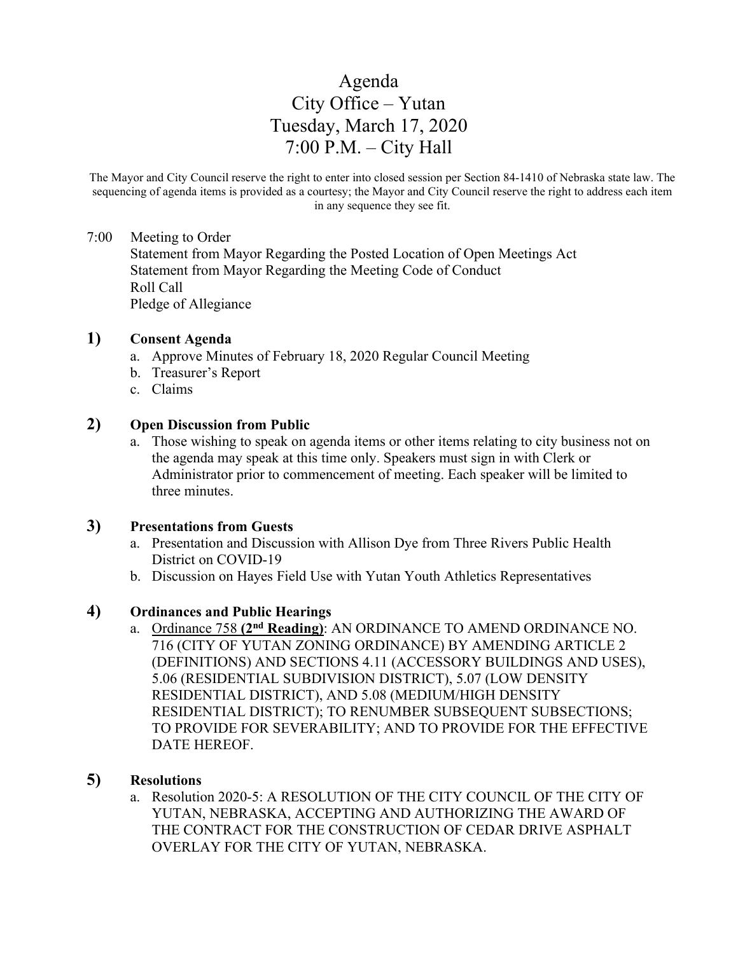# Agenda City Office – Yutan Tuesday, March 17, 2020 7:00 P.M. – City Hall

The Mayor and City Council reserve the right to enter into closed session per Section 84-1410 of Nebraska state law. The sequencing of agenda items is provided as a courtesy; the Mayor and City Council reserve the right to address each item in any sequence they see fit.

#### 7:00 Meeting to Order

Statement from Mayor Regarding the Posted Location of Open Meetings Act Statement from Mayor Regarding the Meeting Code of Conduct Roll Call Pledge of Allegiance

## **1) Consent Agenda**

- a. Approve Minutes of February 18, 2020 Regular Council Meeting
- b. Treasurer's Report
- c. Claims

#### **2) Open Discussion from Public**

a. Those wishing to speak on agenda items or other items relating to city business not on the agenda may speak at this time only. Speakers must sign in with Clerk or Administrator prior to commencement of meeting. Each speaker will be limited to three minutes.

#### **3) Presentations from Guests**

- a. Presentation and Discussion with Allison Dye from Three Rivers Public Health District on COVID-19
- b. Discussion on Hayes Field Use with Yutan Youth Athletics Representatives

#### **4) Ordinances and Public Hearings**

a. Ordinance 758 **(2nd Reading)**: AN ORDINANCE TO AMEND ORDINANCE NO. 716 (CITY OF YUTAN ZONING ORDINANCE) BY AMENDING ARTICLE 2 (DEFINITIONS) AND SECTIONS 4.11 (ACCESSORY BUILDINGS AND USES), 5.06 (RESIDENTIAL SUBDIVISION DISTRICT), 5.07 (LOW DENSITY RESIDENTIAL DISTRICT), AND 5.08 (MEDIUM/HIGH DENSITY RESIDENTIAL DISTRICT); TO RENUMBER SUBSEQUENT SUBSECTIONS; TO PROVIDE FOR SEVERABILITY; AND TO PROVIDE FOR THE EFFECTIVE DATE HEREOF.

# **5) Resolutions**

a. Resolution 2020-5: A RESOLUTION OF THE CITY COUNCIL OF THE CITY OF YUTAN, NEBRASKA, ACCEPTING AND AUTHORIZING THE AWARD OF THE CONTRACT FOR THE CONSTRUCTION OF CEDAR DRIVE ASPHALT OVERLAY FOR THE CITY OF YUTAN, NEBRASKA.